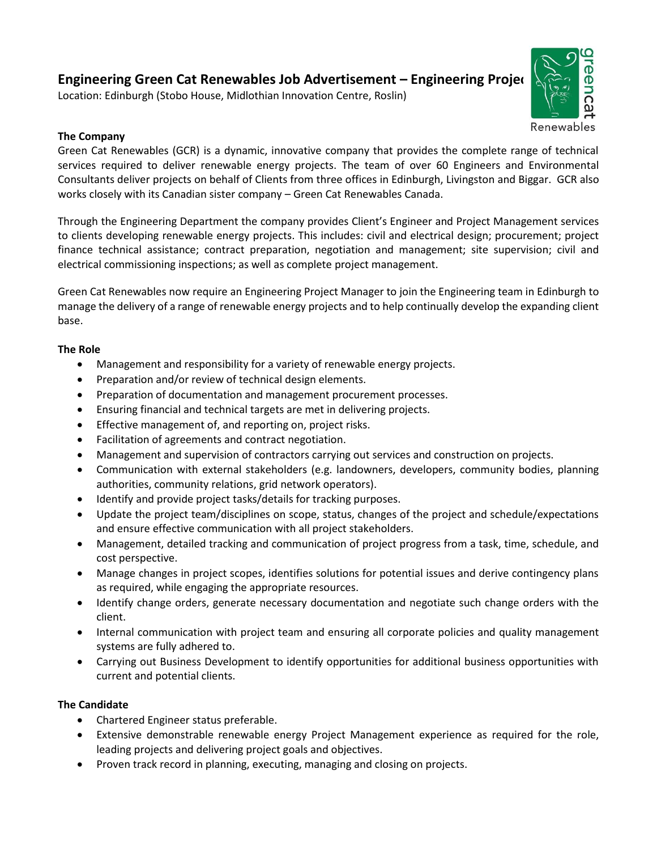## **Engineering Green Cat Renewables Job Advertisement - Engineering Projed**

Location: Edinburgh (Stobo House, Midlothian Innovation Centre, Roslin)



## **The Company**

Green Cat Renewables (GCR) is a dynamic, innovative company that provides the complete range of technical services required to deliver renewable energy projects. The team of over 60 Engineers and Environmental Consultants deliver projects on behalf of Clients from three offices in Edinburgh, Livingston and Biggar. GCR also works closely with its Canadian sister company – Green Cat Renewables Canada.

Through the Engineering Department the company provides Client's Engineer and Project Management services to clients developing renewable energy projects. This includes: civil and electrical design; procurement; project finance technical assistance; contract preparation, negotiation and management; site supervision; civil and electrical commissioning inspections; as well as complete project management.

Green Cat Renewables now require an Engineering Project Manager to join the Engineering team in Edinburgh to manage the delivery of a range of renewable energy projects and to help continually develop the expanding client base.

## **The Role**

- Management and responsibility for a variety of renewable energy projects.
- Preparation and/or review of technical design elements.
- Preparation of documentation and management procurement processes.
- Ensuring financial and technical targets are met in delivering projects.
- Effective management of, and reporting on, project risks.
- Facilitation of agreements and contract negotiation.
- Management and supervision of contractors carrying out services and construction on projects.
- Communication with external stakeholders (e.g. landowners, developers, community bodies, planning authorities, community relations, grid network operators).
- Identify and provide project tasks/details for tracking purposes.
- Update the project team/disciplines on scope, status, changes of the project and schedule/expectations and ensure effective communication with all project stakeholders.
- Management, detailed tracking and communication of project progress from a task, time, schedule, and cost perspective.
- Manage changes in project scopes, identifies solutions for potential issues and derive contingency plans as required, while engaging the appropriate resources.
- Identify change orders, generate necessary documentation and negotiate such change orders with the client.
- Internal communication with project team and ensuring all corporate policies and quality management systems are fully adhered to.
- Carrying out Business Development to identify opportunities for additional business opportunities with current and potential clients.

## **The Candidate**

- Chartered Engineer status preferable.
- Extensive demonstrable renewable energy Project Management experience as required for the role, leading projects and delivering project goals and objectives.
- Proven track record in planning, executing, managing and closing on projects.